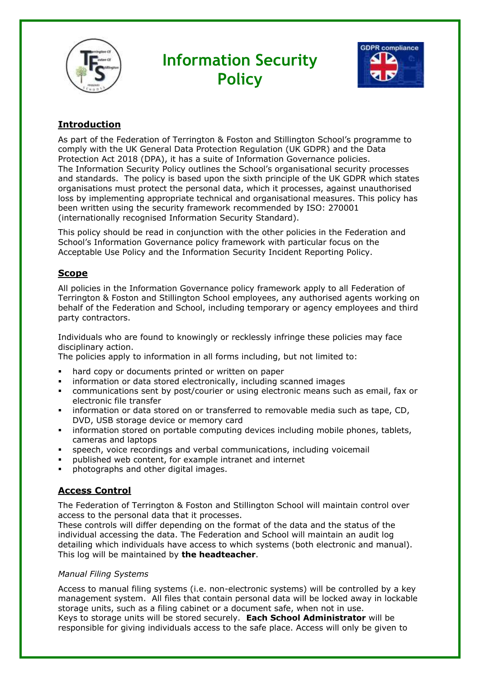

# **Information Security Policy**



# **Introduction**

As part of the Federation of Terrington & Foston and Stillington School's programme to comply with the UK General Data Protection Regulation (UK GDPR) and the Data Protection Act 2018 (DPA), it has a suite of Information Governance policies. The Information Security Policy outlines the School's organisational security processes and standards. The policy is based upon the sixth principle of the UK GDPR which states organisations must protect the personal data, which it processes, against unauthorised loss by implementing appropriate technical and organisational measures. This policy has been written using the security framework recommended by ISO: 270001 (internationally recognised Information Security Standard).

This policy should be read in conjunction with the other policies in the Federation and School's Information Governance policy framework with particular focus on the Acceptable Use Policy and the Information Security Incident Reporting Policy.

# **Scope**

All policies in the Information Governance policy framework apply to all Federation of Terrington & Foston and Stillington School employees, any authorised agents working on behalf of the Federation and School, including temporary or agency employees and third party contractors.

Individuals who are found to knowingly or recklessly infringe these policies may face disciplinary action.

The policies apply to information in all forms including, but not limited to:

- hard copy or documents printed or written on paper
- **•** information or data stored electronically, including scanned images
- communications sent by post/courier or using electronic means such as email, fax or electronic file transfer
- information or data stored on or transferred to removable media such as tape, CD, DVD, USB storage device or memory card
- information stored on portable computing devices including mobile phones, tablets, cameras and laptops
- speech, voice recordings and verbal communications, including voicemail
- published web content, for example intranet and internet
- photographs and other digital images.

# **Access Control**

The Federation of Terrington & Foston and Stillington School will maintain control over access to the personal data that it processes.

These controls will differ depending on the format of the data and the status of the individual accessing the data. The Federation and School will maintain an audit log detailing which individuals have access to which systems (both electronic and manual). This log will be maintained by **the headteacher**.

## *Manual Filing Systems*

Access to manual filing systems (i.e. non-electronic systems) will be controlled by a key management system. All files that contain personal data will be locked away in lockable storage units, such as a filing cabinet or a document safe, when not in use. Keys to storage units will be stored securely. **Each School Administrator** will be

responsible for giving individuals access to the safe place. Access will only be given to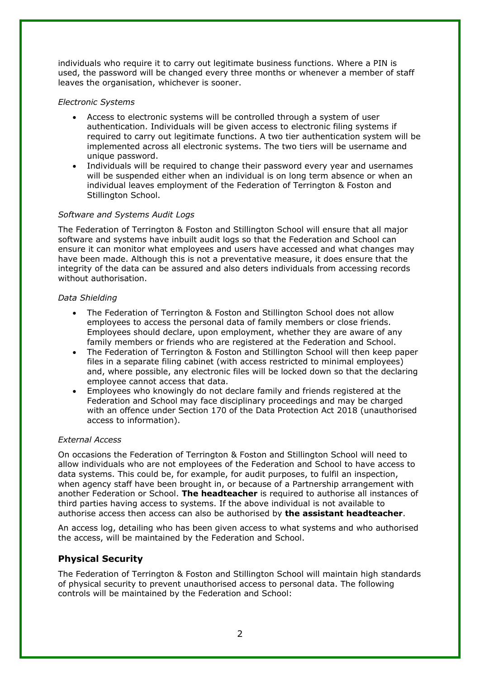individuals who require it to carry out legitimate business functions. Where a PIN is used, the password will be changed every three months or whenever a member of staff leaves the organisation, whichever is sooner.

## *Electronic Systems*

- Access to electronic systems will be controlled through a system of user authentication. Individuals will be given access to electronic filing systems if required to carry out legitimate functions. A two tier authentication system will be implemented across all electronic systems. The two tiers will be username and unique password.
- Individuals will be required to change their password every year and usernames will be suspended either when an individual is on long term absence or when an individual leaves employment of the Federation of Terrington & Foston and Stillington School.

## *Software and Systems Audit Logs*

The Federation of Terrington & Foston and Stillington School will ensure that all major software and systems have inbuilt audit logs so that the Federation and School can ensure it can monitor what employees and users have accessed and what changes may have been made. Although this is not a preventative measure, it does ensure that the integrity of the data can be assured and also deters individuals from accessing records without authorisation.

## *Data Shielding*

- The Federation of Terrington & Foston and Stillington School does not allow employees to access the personal data of family members or close friends. Employees should declare, upon employment, whether they are aware of any family members or friends who are registered at the Federation and School.
- The Federation of Terrington & Foston and Stillington School will then keep paper files in a separate filing cabinet (with access restricted to minimal employees) and, where possible, any electronic files will be locked down so that the declaring employee cannot access that data.
- Employees who knowingly do not declare family and friends registered at the Federation and School may face disciplinary proceedings and may be charged with an offence under Section 170 of the Data Protection Act 2018 (unauthorised access to information).

## *External Access*

On occasions the Federation of Terrington & Foston and Stillington School will need to allow individuals who are not employees of the Federation and School to have access to data systems. This could be, for example, for audit purposes, to fulfil an inspection, when agency staff have been brought in, or because of a Partnership arrangement with another Federation or School. **The headteacher** is required to authorise all instances of third parties having access to systems. If the above individual is not available to authorise access then access can also be authorised by **the assistant headteacher**.

An access log, detailing who has been given access to what systems and who authorised the access, will be maintained by the Federation and School.

# **Physical Security**

The Federation of Terrington & Foston and Stillington School will maintain high standards of physical security to prevent unauthorised access to personal data. The following controls will be maintained by the Federation and School: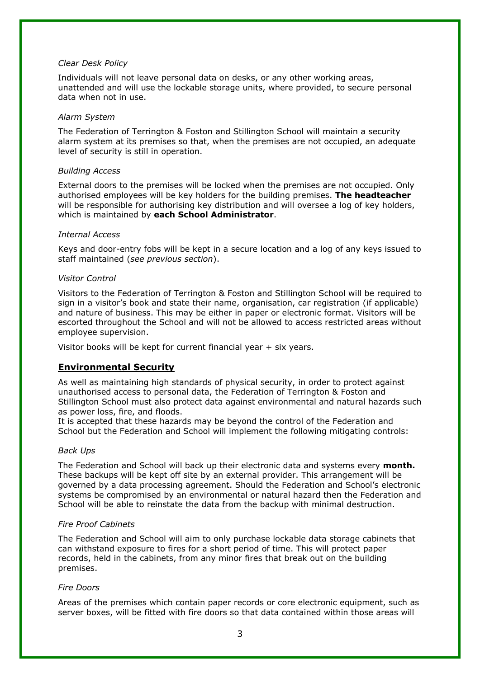#### *Clear Desk Policy*

Individuals will not leave personal data on desks, or any other working areas, unattended and will use the lockable storage units, where provided, to secure personal data when not in use.

#### *Alarm System*

The Federation of Terrington & Foston and Stillington School will maintain a security alarm system at its premises so that, when the premises are not occupied, an adequate level of security is still in operation.

#### *Building Access*

External doors to the premises will be locked when the premises are not occupied. Only authorised employees will be key holders for the building premises. **The headteacher** will be responsible for authorising key distribution and will oversee a log of key holders, which is maintained by **each School Administrator**.

#### *Internal Access*

Keys and door-entry fobs will be kept in a secure location and a log of any keys issued to staff maintained (*see previous section*).

#### *Visitor Control*

Visitors to the Federation of Terrington & Foston and Stillington School will be required to sign in a visitor's book and state their name, organisation, car registration (if applicable) and nature of business. This may be either in paper or electronic format. Visitors will be escorted throughout the School and will not be allowed to access restricted areas without employee supervision.

Visitor books will be kept for current financial year + six years.

## **Environmental Security**

As well as maintaining high standards of physical security, in order to protect against unauthorised access to personal data, the Federation of Terrington & Foston and Stillington School must also protect data against environmental and natural hazards such as power loss, fire, and floods.

It is accepted that these hazards may be beyond the control of the Federation and School but the Federation and School will implement the following mitigating controls:

## *Back Ups*

The Federation and School will back up their electronic data and systems every **month.** These backups will be kept off site by an external provider. This arrangement will be governed by a data processing agreement. Should the Federation and School's electronic systems be compromised by an environmental or natural hazard then the Federation and School will be able to reinstate the data from the backup with minimal destruction.

## *Fire Proof Cabinets*

The Federation and School will aim to only purchase lockable data storage cabinets that can withstand exposure to fires for a short period of time. This will protect paper records, held in the cabinets, from any minor fires that break out on the building premises.

## *Fire Doors*

Areas of the premises which contain paper records or core electronic equipment, such as server boxes, will be fitted with fire doors so that data contained within those areas will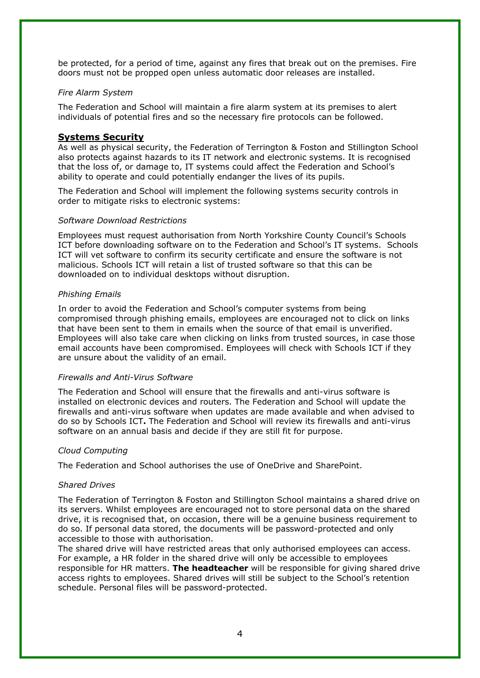be protected, for a period of time, against any fires that break out on the premises. Fire doors must not be propped open unless automatic door releases are installed.

## *Fire Alarm System*

The Federation and School will maintain a fire alarm system at its premises to alert individuals of potential fires and so the necessary fire protocols can be followed.

## **Systems Security**

As well as physical security, the Federation of Terrington & Foston and Stillington School also protects against hazards to its IT network and electronic systems. It is recognised that the loss of, or damage to, IT systems could affect the Federation and School's ability to operate and could potentially endanger the lives of its pupils.

The Federation and School will implement the following systems security controls in order to mitigate risks to electronic systems:

## *Software Download Restrictions*

Employees must request authorisation from North Yorkshire County Council's Schools ICT before downloading software on to the Federation and School's IT systems. Schools ICT will vet software to confirm its security certificate and ensure the software is not malicious. Schools ICT will retain a list of trusted software so that this can be downloaded on to individual desktops without disruption.

## *Phishing Emails*

In order to avoid the Federation and School's computer systems from being compromised through phishing emails, employees are encouraged not to click on links that have been sent to them in emails when the source of that email is unverified. Employees will also take care when clicking on links from trusted sources, in case those email accounts have been compromised. Employees will check with Schools ICT if they are unsure about the validity of an email.

## *Firewalls and Anti-Virus Software*

The Federation and School will ensure that the firewalls and anti-virus software is installed on electronic devices and routers. The Federation and School will update the firewalls and anti-virus software when updates are made available and when advised to do so by Schools ICT**.** The Federation and School will review its firewalls and anti-virus software on an annual basis and decide if they are still fit for purpose.

## *Cloud Computing*

The Federation and School authorises the use of OneDrive and SharePoint.

## *Shared Drives*

The Federation of Terrington & Foston and Stillington School maintains a shared drive on its servers. Whilst employees are encouraged not to store personal data on the shared drive, it is recognised that, on occasion, there will be a genuine business requirement to do so. If personal data stored, the documents will be password-protected and only accessible to those with authorisation.

The shared drive will have restricted areas that only authorised employees can access. For example, a HR folder in the shared drive will only be accessible to employees responsible for HR matters. **The headteacher** will be responsible for giving shared drive access rights to employees. Shared drives will still be subject to the School's retention schedule. Personal files will be password-protected.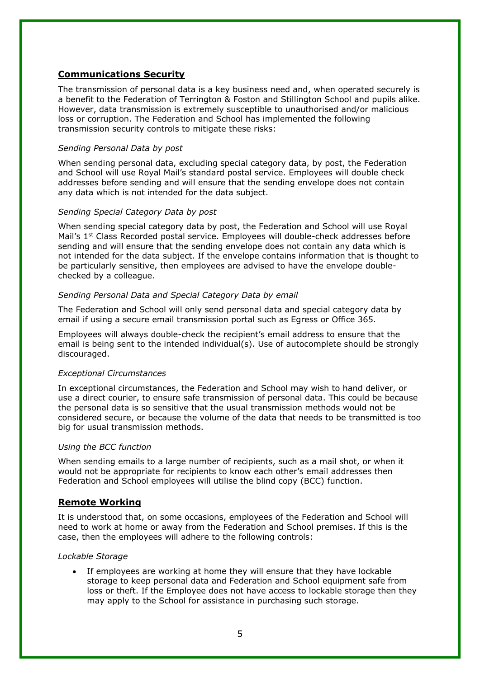## **Communications Security**

The transmission of personal data is a key business need and, when operated securely is a benefit to the Federation of Terrington & Foston and Stillington School and pupils alike. However, data transmission is extremely susceptible to unauthorised and/or malicious loss or corruption. The Federation and School has implemented the following transmission security controls to mitigate these risks:

#### *Sending Personal Data by post*

When sending personal data, excluding special category data, by post, the Federation and School will use Royal Mail's standard postal service. Employees will double check addresses before sending and will ensure that the sending envelope does not contain any data which is not intended for the data subject.

#### *Sending Special Category Data by post*

When sending special category data by post, the Federation and School will use Royal Mail's 1st Class Recorded postal service. Employees will double-check addresses before sending and will ensure that the sending envelope does not contain any data which is not intended for the data subject. If the envelope contains information that is thought to be particularly sensitive, then employees are advised to have the envelope doublechecked by a colleague.

#### *Sending Personal Data and Special Category Data by email*

The Federation and School will only send personal data and special category data by email if using a secure email transmission portal such as Egress or Office 365.

Employees will always double-check the recipient's email address to ensure that the email is being sent to the intended individual(s). Use of autocomplete should be strongly discouraged.

## *Exceptional Circumstances*

In exceptional circumstances, the Federation and School may wish to hand deliver, or use a direct courier, to ensure safe transmission of personal data. This could be because the personal data is so sensitive that the usual transmission methods would not be considered secure, or because the volume of the data that needs to be transmitted is too big for usual transmission methods.

#### *Using the BCC function*

When sending emails to a large number of recipients, such as a mail shot, or when it would not be appropriate for recipients to know each other's email addresses then Federation and School employees will utilise the blind copy (BCC) function.

## **Remote Working**

It is understood that, on some occasions, employees of the Federation and School will need to work at home or away from the Federation and School premises. If this is the case, then the employees will adhere to the following controls:

#### *Lockable Storage*

If employees are working at home they will ensure that they have lockable storage to keep personal data and Federation and School equipment safe from loss or theft. If the Employee does not have access to lockable storage then they may apply to the School for assistance in purchasing such storage.